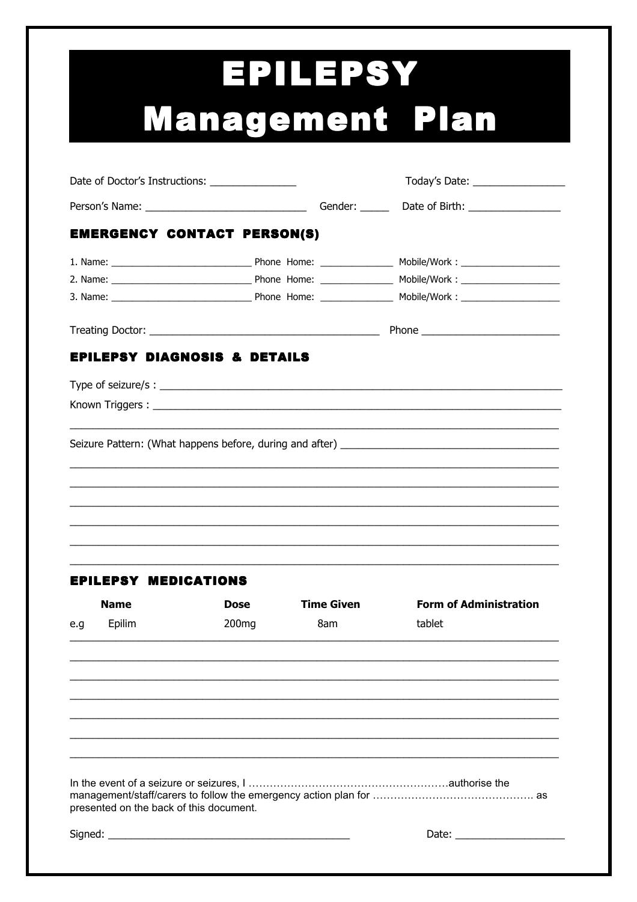## **EPILEPSY Management Plan**

| Date of Doctor's Instructions: ________________ |                   |                   | Today's Date: __________________                                                                                                                                                                                                                                                                  |  |
|-------------------------------------------------|-------------------|-------------------|---------------------------------------------------------------------------------------------------------------------------------------------------------------------------------------------------------------------------------------------------------------------------------------------------|--|
|                                                 |                   |                   |                                                                                                                                                                                                                                                                                                   |  |
| <b>EMERGENCY CONTACT PERSON(S)</b>              |                   |                   |                                                                                                                                                                                                                                                                                                   |  |
|                                                 |                   |                   |                                                                                                                                                                                                                                                                                                   |  |
|                                                 |                   |                   |                                                                                                                                                                                                                                                                                                   |  |
|                                                 |                   |                   |                                                                                                                                                                                                                                                                                                   |  |
|                                                 |                   |                   |                                                                                                                                                                                                                                                                                                   |  |
| <b>EPILEPSY DIAGNOSIS &amp; DETAILS</b>         |                   |                   |                                                                                                                                                                                                                                                                                                   |  |
|                                                 |                   |                   | Type of seizure/s : $\sqrt{2\pi}$ = $\sqrt{2\pi}$ = $\sqrt{2\pi}$ = $\sqrt{2\pi}$ = $\sqrt{2\pi}$ = $\sqrt{2\pi}$ = $\sqrt{2\pi}$ = $\sqrt{2\pi}$ = $\sqrt{2\pi}$ = $\sqrt{2\pi}$ = $\sqrt{2\pi}$ = $\sqrt{2\pi}$ = $\sqrt{2\pi}$ = $\sqrt{2\pi}$ = $\sqrt{2\pi}$ = $\sqrt{2\pi}$ = $\sqrt{2\pi}$ |  |
|                                                 |                   |                   |                                                                                                                                                                                                                                                                                                   |  |
|                                                 |                   |                   |                                                                                                                                                                                                                                                                                                   |  |
|                                                 |                   |                   |                                                                                                                                                                                                                                                                                                   |  |
|                                                 |                   |                   |                                                                                                                                                                                                                                                                                                   |  |
|                                                 |                   |                   |                                                                                                                                                                                                                                                                                                   |  |
|                                                 |                   |                   |                                                                                                                                                                                                                                                                                                   |  |
|                                                 |                   |                   |                                                                                                                                                                                                                                                                                                   |  |
|                                                 |                   |                   |                                                                                                                                                                                                                                                                                                   |  |
| <b>EPILEPSY MEDICATIONS</b>                     |                   |                   |                                                                                                                                                                                                                                                                                                   |  |
| <b>Name</b>                                     | Dose              | <b>Time Given</b> | <b>Form of Administration</b>                                                                                                                                                                                                                                                                     |  |
| Epilim<br>e.g                                   | 200 <sub>mg</sub> | 8am               | tablet                                                                                                                                                                                                                                                                                            |  |
|                                                 |                   |                   |                                                                                                                                                                                                                                                                                                   |  |
|                                                 |                   |                   |                                                                                                                                                                                                                                                                                                   |  |
|                                                 |                   |                   |                                                                                                                                                                                                                                                                                                   |  |
|                                                 |                   |                   |                                                                                                                                                                                                                                                                                                   |  |
|                                                 |                   |                   |                                                                                                                                                                                                                                                                                                   |  |
|                                                 |                   |                   |                                                                                                                                                                                                                                                                                                   |  |
|                                                 |                   |                   |                                                                                                                                                                                                                                                                                                   |  |
|                                                 |                   |                   |                                                                                                                                                                                                                                                                                                   |  |
| presented on the back of this document.         |                   |                   |                                                                                                                                                                                                                                                                                                   |  |
|                                                 |                   |                   |                                                                                                                                                                                                                                                                                                   |  |
|                                                 |                   |                   |                                                                                                                                                                                                                                                                                                   |  |